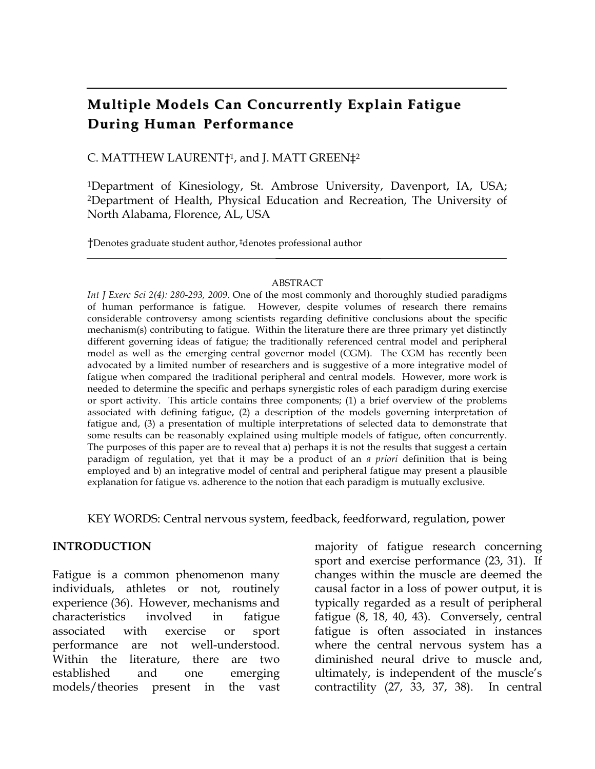# **Multiple Models Can Concurrently Explain Fatigue During Human Performance**

C. MATTHEW LAURENT†1, and J. MATT GREEN‡2

1Department of Kinesiology, St. Ambrose University, Davenport, IA, USA; 2Department of Health, Physical Education and Recreation, The University of North Alabama, Florence, AL, USA

†Denotes graduate student author, ‡denotes professional author

#### ABSTRACT

*Int J Exerc Sci 2(4): 280-293, 2009*. One of the most commonly and thoroughly studied paradigms of human performance is fatigue. However, despite volumes of research there remains considerable controversy among scientists regarding definitive conclusions about the specific mechanism(s) contributing to fatigue. Within the literature there are three primary yet distinctly different governing ideas of fatigue; the traditionally referenced central model and peripheral model as well as the emerging central governor model (CGM). The CGM has recently been advocated by a limited number of researchers and is suggestive of a more integrative model of fatigue when compared the traditional peripheral and central models. However, more work is needed to determine the specific and perhaps synergistic roles of each paradigm during exercise or sport activity. This article contains three components; (1) a brief overview of the problems associated with defining fatigue, (2) a description of the models governing interpretation of fatigue and, (3) a presentation of multiple interpretations of selected data to demonstrate that some results can be reasonably explained using multiple models of fatigue, often concurrently. The purposes of this paper are to reveal that a) perhaps it is not the results that suggest a certain paradigm of regulation, yet that it may be a product of an *a priori* definition that is being employed and b) an integrative model of central and peripheral fatigue may present a plausible explanation for fatigue vs. adherence to the notion that each paradigm is mutually exclusive.

KEY WORDS: Central nervous system, feedback, feedforward, regulation, power

#### **INTRODUCTION**

Fatigue is a common phenomenon many individuals, athletes or not, routinely experience (36). However, mechanisms and characteristics involved in fatigue associated with exercise or sport performance are not well-understood. Within the literature, there are two established and one emerging models/theories present in the vast

majority of fatigue research concerning sport and exercise performance (23, 31). If changes within the muscle are deemed the causal factor in a loss of power output, it is typically regarded as a result of peripheral fatigue (8, 18, 40, 43). Conversely, central fatigue is often associated in instances where the central nervous system has a diminished neural drive to muscle and, ultimately, is independent of the muscle's contractility (27, 33, 37, 38). In central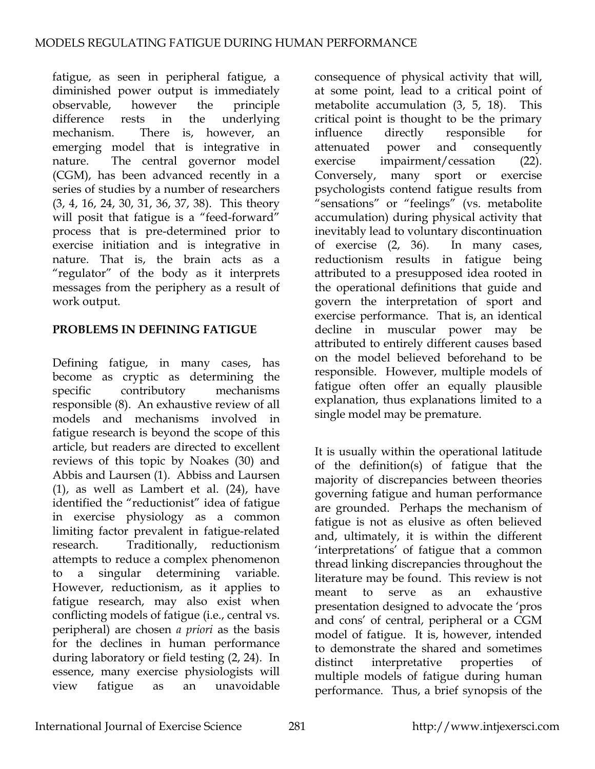fatigue, as seen in peripheral fatigue, a diminished power output is immediately observable, however the principle difference rests in the underlying mechanism. There is, however, an emerging model that is integrative in nature. The central governor model (CGM), has been advanced recently in a series of studies by a number of researchers (3, 4, 16, 24, 30, 31, 36, 37, 38). This theory will posit that fatigue is a "feed-forward" process that is pre-determined prior to exercise initiation and is integrative in nature. That is, the brain acts as a "regulator" of the body as it interprets messages from the periphery as a result of work output.

### **PROBLEMS IN DEFINING FATIGUE**

Defining fatigue, in many cases, has become as cryptic as determining the specific contributory mechanisms responsible (8). An exhaustive review of all models and mechanisms involved in fatigue research is beyond the scope of this article, but readers are directed to excellent reviews of this topic by Noakes (30) and Abbis and Laursen (1). Abbiss and Laursen (1), as well as Lambert et al. (24), have identified the "reductionist" idea of fatigue in exercise physiology as a common limiting factor prevalent in fatigue-related research. Traditionally, reductionism attempts to reduce a complex phenomenon to a singular determining variable. However, reductionism, as it applies to fatigue research, may also exist when conflicting models of fatigue (i.e., central vs. peripheral) are chosen *a priori* as the basis for the declines in human performance during laboratory or field testing (2, 24). In essence, many exercise physiologists will view fatigue as an unavoidable

consequence of physical activity that will, at some point, lead to a critical point of metabolite accumulation (3, 5, 18). This critical point is thought to be the primary influence directly responsible for attenuated power and consequently exercise impairment/cessation (22). Conversely, many sport or exercise psychologists contend fatigue results from "sensations" or "feelings" (vs. metabolite accumulation) during physical activity that inevitably lead to voluntary discontinuation of exercise (2, 36). In many cases, reductionism results in fatigue being attributed to a presupposed idea rooted in the operational definitions that guide and govern the interpretation of sport and exercise performance. That is, an identical decline in muscular power may be attributed to entirely different causes based on the model believed beforehand to be responsible. However, multiple models of fatigue often offer an equally plausible explanation, thus explanations limited to a single model may be premature.

It is usually within the operational latitude of the definition(s) of fatigue that the majority of discrepancies between theories governing fatigue and human performance are grounded. Perhaps the mechanism of fatigue is not as elusive as often believed and, ultimately, it is within the different 'interpretations' of fatigue that a common thread linking discrepancies throughout the literature may be found. This review is not meant to serve as an exhaustive presentation designed to advocate the 'pros and cons' of central, peripheral or a CGM model of fatigue. It is, however, intended to demonstrate the shared and sometimes distinct interpretative properties of multiple models of fatigue during human performance. Thus, a brief synopsis of the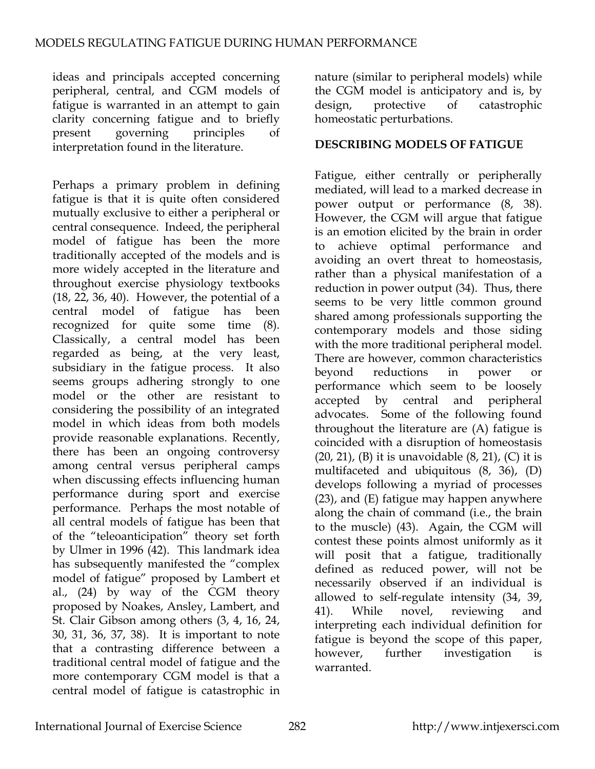ideas and principals accepted concerning peripheral, central, and CGM models of fatigue is warranted in an attempt to gain clarity concerning fatigue and to briefly present governing principles of interpretation found in the literature.

Perhaps a primary problem in defining fatigue is that it is quite often considered mutually exclusive to either a peripheral or central consequence. Indeed, the peripheral model of fatigue has been the more traditionally accepted of the models and is more widely accepted in the literature and throughout exercise physiology textbooks (18, 22, 36, 40). However, the potential of a central model of fatigue has been recognized for quite some time (8). Classically, a central model has been regarded as being, at the very least, subsidiary in the fatigue process. It also seems groups adhering strongly to one model or the other are resistant to considering the possibility of an integrated model in which ideas from both models provide reasonable explanations. Recently, there has been an ongoing controversy among central versus peripheral camps when discussing effects influencing human performance during sport and exercise performance. Perhaps the most notable of all central models of fatigue has been that of the "teleoanticipation" theory set forth by Ulmer in 1996 (42). This landmark idea has subsequently manifested the "complex model of fatigue" proposed by Lambert et al., (24) by way of the CGM theory proposed by Noakes, Ansley, Lambert, and St. Clair Gibson among others (3, 4, 16, 24, 30, 31, 36, 37, 38). It is important to note that a contrasting difference between a traditional central model of fatigue and the more contemporary CGM model is that a central model of fatigue is catastrophic in

nature (similar to peripheral models) while the CGM model is anticipatory and is, by design, protective of catastrophic homeostatic perturbations.

#### **DESCRIBING MODELS OF FATIGUE**

Fatigue, either centrally or peripherally mediated, will lead to a marked decrease in power output or performance (8, 38). However, the CGM will argue that fatigue is an emotion elicited by the brain in order to achieve optimal performance and avoiding an overt threat to homeostasis, rather than a physical manifestation of a reduction in power output (34). Thus, there seems to be very little common ground shared among professionals supporting the contemporary models and those siding with the more traditional peripheral model. There are however, common characteristics beyond reductions in power or performance which seem to be loosely accepted by central and peripheral advocates. Some of the following found throughout the literature are (A) fatigue is coincided with a disruption of homeostasis  $(20, 21)$ ,  $(B)$  it is unavoidable  $(8, 21)$ ,  $(C)$  it is multifaceted and ubiquitous (8, 36), (D) develops following a myriad of processes (23), and (E) fatigue may happen anywhere along the chain of command (i.e., the brain to the muscle) (43). Again, the CGM will contest these points almost uniformly as it will posit that a fatigue, traditionally defined as reduced power, will not be necessarily observed if an individual is allowed to self-regulate intensity (34, 39, 41). While novel, reviewing and interpreting each individual definition for fatigue is beyond the scope of this paper, however, further investigation is warranted.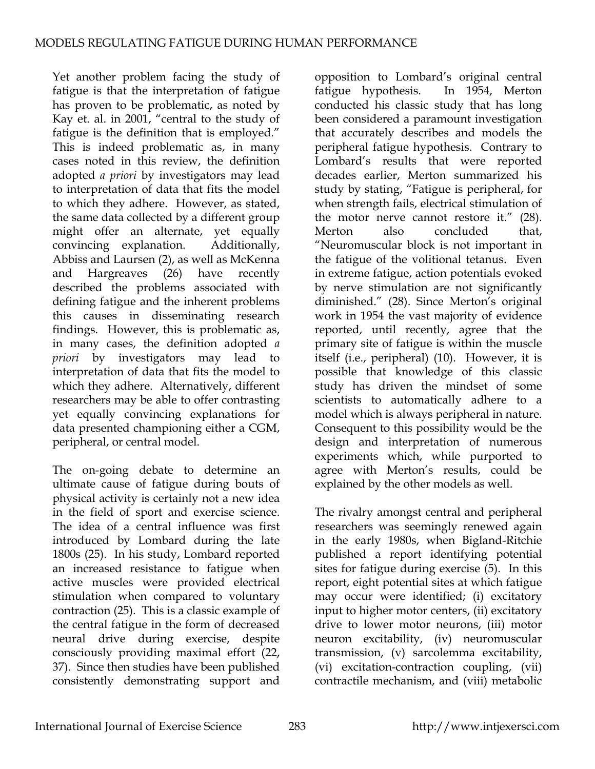Yet another problem facing the study of fatigue is that the interpretation of fatigue has proven to be problematic, as noted by Kay et. al. in 2001, "central to the study of fatigue is the definition that is employed." This is indeed problematic as, in many cases noted in this review, the definition adopted *a priori* by investigators may lead to interpretation of data that fits the model to which they adhere. However, as stated, the same data collected by a different group might offer an alternate, yet equally convincing explanation. Additionally, Abbiss and Laursen (2), as well as McKenna and Hargreaves (26) have recently described the problems associated with defining fatigue and the inherent problems this causes in disseminating research findings. However, this is problematic as, in many cases, the definition adopted *a priori* by investigators may lead to interpretation of data that fits the model to which they adhere. Alternatively, different researchers may be able to offer contrasting yet equally convincing explanations for data presented championing either a CGM, peripheral, or central model.

The on-going debate to determine an ultimate cause of fatigue during bouts of physical activity is certainly not a new idea in the field of sport and exercise science. The idea of a central influence was first introduced by Lombard during the late 1800s (25). In his study, Lombard reported an increased resistance to fatigue when active muscles were provided electrical stimulation when compared to voluntary contraction (25). This is a classic example of the central fatigue in the form of decreased neural drive during exercise, despite consciously providing maximal effort (22, 37). Since then studies have been published consistently demonstrating support and

opposition to Lombard's original central fatigue hypothesis. In 1954, Merton conducted his classic study that has long been considered a paramount investigation that accurately describes and models the peripheral fatigue hypothesis. Contrary to Lombard's results that were reported decades earlier, Merton summarized his study by stating, "Fatigue is peripheral, for when strength fails, electrical stimulation of the motor nerve cannot restore it." (28). Merton also concluded that, "Neuromuscular block is not important in the fatigue of the volitional tetanus. Even in extreme fatigue, action potentials evoked by nerve stimulation are not significantly diminished." (28). Since Merton's original work in 1954 the vast majority of evidence reported, until recently, agree that the primary site of fatigue is within the muscle itself (i.e., peripheral) (10). However, it is possible that knowledge of this classic study has driven the mindset of some scientists to automatically adhere to a model which is always peripheral in nature. Consequent to this possibility would be the design and interpretation of numerous experiments which, while purported to agree with Merton's results, could be explained by the other models as well.

The rivalry amongst central and peripheral researchers was seemingly renewed again in the early 1980s, when Bigland-Ritchie published a report identifying potential sites for fatigue during exercise (5). In this report, eight potential sites at which fatigue may occur were identified; (i) excitatory input to higher motor centers, (ii) excitatory drive to lower motor neurons, (iii) motor neuron excitability, (iv) neuromuscular transmission, (v) sarcolemma excitability, (vi) excitation-contraction coupling, (vii) contractile mechanism, and (viii) metabolic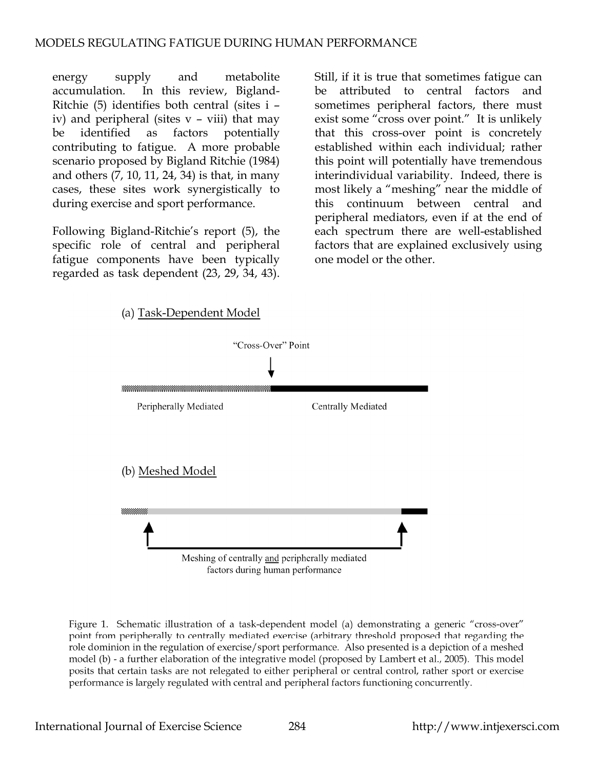energy supply and metabolite accumulation. In this review, Bigland-Ritchie (5) identifies both central (sites i – iv) and peripheral (sites v – viii) that may be identified as factors potentially contributing to fatigue. A more probable scenario proposed by Bigland Ritchie (1984) and others (7, 10, 11, 24, 34) is that, in many cases, these sites work synergistically to during exercise and sport performance.

Following Bigland-Ritchie's report (5), the specific role of central and peripheral fatigue components have been typically regarded as task dependent (23, 29, 34, 43).

Still, if it is true that sometimes fatigue can be attributed to central factors and sometimes peripheral factors, there must exist some "cross over point." It is unlikely that this cross-over point is concretely established within each individual; rather this point will potentially have tremendous interindividual variability. Indeed, there is most likely a "meshing" near the middle of this continuum between central and peripheral mediators, even if at the end of each spectrum there are well-established factors that are explained exclusively using one model or the other.



Figure 1. Schematic illustration of a task-dependent model (a) demonstrating a generic "cross-over" point from peripherally to centrally mediated exercise (arbitrary threshold proposed that regarding the role dominion in the regulation of exercise/sport performance. Also presented is a depiction of a meshed model (b) - a further elaboration of the integrative model (proposed by Lambert et al., 2005). This model posits that certain tasks are not relegated to either peripheral or central control, rather sport or exercise performance is largely regulated with central and peripheral factors functioning concurrently.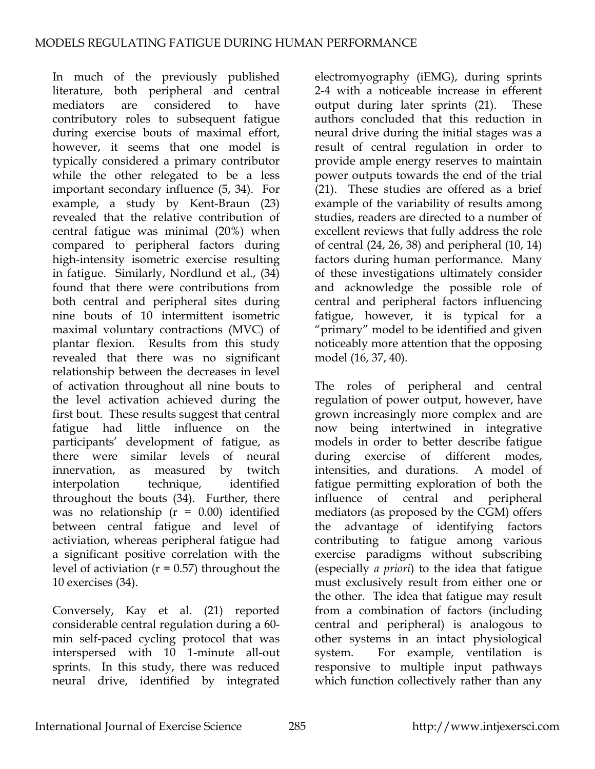In much of the previously published literature, both peripheral and central mediators are considered to have contributory roles to subsequent fatigue during exercise bouts of maximal effort, however, it seems that one model is typically considered a primary contributor while the other relegated to be a less important secondary influence (5, 34). For example, a study by Kent-Braun (23) revealed that the relative contribution of central fatigue was minimal (20%) when compared to peripheral factors during high-intensity isometric exercise resulting in fatigue. Similarly, Nordlund et al., (34) found that there were contributions from both central and peripheral sites during nine bouts of 10 intermittent isometric maximal voluntary contractions (MVC) of plantar flexion. Results from this study revealed that there was no significant relationship between the decreases in level of activation throughout all nine bouts to the level activation achieved during the first bout. These results suggest that central fatigue had little influence on the participants' development of fatigue, as there were similar levels of neural innervation, as measured by twitch interpolation technique, identified throughout the bouts (34). Further, there was no relationship ( $r = 0.00$ ) identified between central fatigue and level of activiation, whereas peripheral fatigue had a significant positive correlation with the level of activiation ( $r = 0.57$ ) throughout the 10 exercises (34).

Conversely, Kay et al. (21) reported considerable central regulation during a 60 min self-paced cycling protocol that was interspersed with 10 1-minute all-out sprints. In this study, there was reduced neural drive, identified by integrated

electromyography (iEMG), during sprints 2-4 with a noticeable increase in efferent output during later sprints (21). These authors concluded that this reduction in neural drive during the initial stages was a result of central regulation in order to provide ample energy reserves to maintain power outputs towards the end of the trial (21). These studies are offered as a brief example of the variability of results among studies, readers are directed to a number of excellent reviews that fully address the role of central (24, 26, 38) and peripheral (10, 14) factors during human performance. Many of these investigations ultimately consider and acknowledge the possible role of central and peripheral factors influencing fatigue, however, it is typical for a "primary" model to be identified and given noticeably more attention that the opposing model (16, 37, 40).

The roles of peripheral and central regulation of power output, however, have grown increasingly more complex and are now being intertwined in integrative models in order to better describe fatigue during exercise of different modes, intensities, and durations. A model of fatigue permitting exploration of both the influence of central and peripheral mediators (as proposed by the CGM) offers the advantage of identifying factors contributing to fatigue among various exercise paradigms without subscribing (especially *a priori*) to the idea that fatigue must exclusively result from either one or the other. The idea that fatigue may result from a combination of factors (including central and peripheral) is analogous to other systems in an intact physiological system. For example, ventilation is responsive to multiple input pathways which function collectively rather than any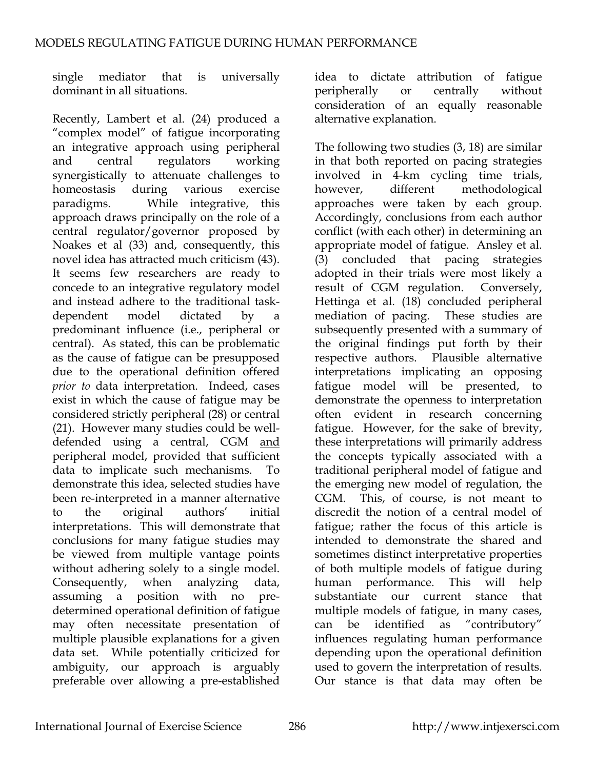single mediator that is universally dominant in all situations.

Recently, Lambert et al. (24) produced a "complex model" of fatigue incorporating an integrative approach using peripheral and central regulators working synergistically to attenuate challenges to homeostasis during various exercise paradigms. While integrative, this approach draws principally on the role of a central regulator/governor proposed by Noakes et al (33) and, consequently, this novel idea has attracted much criticism (43). It seems few researchers are ready to concede to an integrative regulatory model and instead adhere to the traditional taskdependent model dictated by a predominant influence (i.e., peripheral or central). As stated, this can be problematic as the cause of fatigue can be presupposed due to the operational definition offered *prior to* data interpretation. Indeed, cases exist in which the cause of fatigue may be considered strictly peripheral (28) or central (21). However many studies could be welldefended using a central, CGM and peripheral model, provided that sufficient data to implicate such mechanisms. To demonstrate this idea, selected studies have been re-interpreted in a manner alternative to the original authors' initial interpretations. This will demonstrate that conclusions for many fatigue studies may be viewed from multiple vantage points without adhering solely to a single model. Consequently, when analyzing data, assuming a position with no predetermined operational definition of fatigue may often necessitate presentation of multiple plausible explanations for a given data set. While potentially criticized for ambiguity, our approach is arguably preferable over allowing a pre-established

idea to dictate attribution of fatigue peripherally or centrally without consideration of an equally reasonable alternative explanation.

The following two studies (3, 18) are similar in that both reported on pacing strategies involved in 4-km cycling time trials, however, different methodological approaches were taken by each group. Accordingly, conclusions from each author conflict (with each other) in determining an appropriate model of fatigue. Ansley et al. (3) concluded that pacing strategies adopted in their trials were most likely a result of CGM regulation. Conversely, Hettinga et al. (18) concluded peripheral mediation of pacing. These studies are subsequently presented with a summary of the original findings put forth by their respective authors. Plausible alternative interpretations implicating an opposing fatigue model will be presented, to demonstrate the openness to interpretation often evident in research concerning fatigue. However, for the sake of brevity, these interpretations will primarily address the concepts typically associated with a traditional peripheral model of fatigue and the emerging new model of regulation, the CGM. This, of course, is not meant to discredit the notion of a central model of fatigue; rather the focus of this article is intended to demonstrate the shared and sometimes distinct interpretative properties of both multiple models of fatigue during human performance. This will help substantiate our current stance that multiple models of fatigue, in many cases, can be identified as "contributory" influences regulating human performance depending upon the operational definition used to govern the interpretation of results. Our stance is that data may often be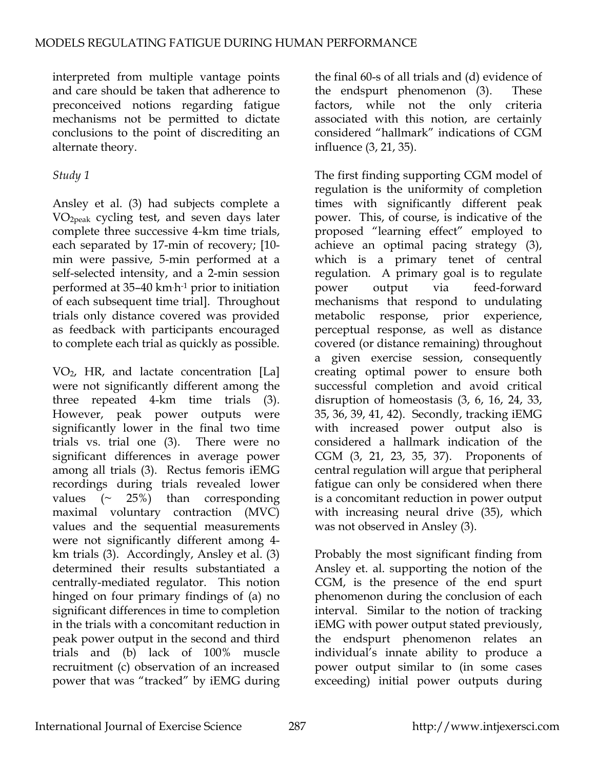interpreted from multiple vantage points and care should be taken that adherence to preconceived notions regarding fatigue mechanisms not be permitted to dictate conclusions to the point of discrediting an alternate theory.

## *Study 1*

Ansley et al. (3) had subjects complete a VO2peak cycling test, and seven days later complete three successive 4-km time trials, each separated by 17-min of recovery; [10 min were passive, 5-min performed at a self-selected intensity, and a 2-min session performed at 35–40 km. h-1 prior to initiation of each subsequent time trial]. Throughout trials only distance covered was provided as feedback with participants encouraged to complete each trial as quickly as possible.

VO2, HR, and lactate concentration [La] were not significantly different among the three repeated 4-km time trials (3). However, peak power outputs were significantly lower in the final two time trials vs. trial one (3). There were no significant differences in average power among all trials (3). Rectus femoris iEMG recordings during trials revealed lower values  $(\sim 25\%)$  than corresponding maximal voluntary contraction (MVC) values and the sequential measurements were not significantly different among 4 km trials (3). Accordingly, Ansley et al. (3) determined their results substantiated a centrally-mediated regulator. This notion hinged on four primary findings of (a) no significant differences in time to completion in the trials with a concomitant reduction in peak power output in the second and third trials and (b) lack of 100% muscle recruitment (c) observation of an increased power that was "tracked" by iEMG during

the final 60-s of all trials and (d) evidence of the endspurt phenomenon (3). These factors, while not the only criteria associated with this notion, are certainly considered "hallmark" indications of CGM influence (3, 21, 35).

The first finding supporting CGM model of regulation is the uniformity of completion times with significantly different peak power. This, of course, is indicative of the proposed "learning effect" employed to achieve an optimal pacing strategy (3), which is a primary tenet of central regulation. A primary goal is to regulate power output via feed-forward mechanisms that respond to undulating metabolic response, prior experience, perceptual response, as well as distance covered (or distance remaining) throughout a given exercise session, consequently creating optimal power to ensure both successful completion and avoid critical disruption of homeostasis (3, 6, 16, 24, 33, 35, 36, 39, 41, 42). Secondly, tracking iEMG with increased power output also is considered a hallmark indication of the CGM (3, 21, 23, 35, 37). Proponents of central regulation will argue that peripheral fatigue can only be considered when there is a concomitant reduction in power output with increasing neural drive (35), which was not observed in Ansley (3).

Probably the most significant finding from Ansley et. al. supporting the notion of the CGM, is the presence of the end spurt phenomenon during the conclusion of each interval. Similar to the notion of tracking iEMG with power output stated previously, the endspurt phenomenon relates an individual's innate ability to produce a power output similar to (in some cases exceeding) initial power outputs during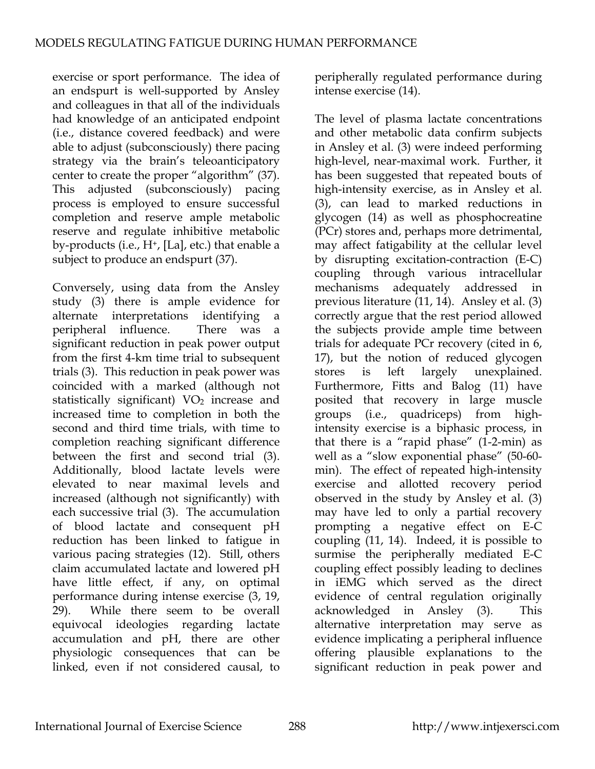exercise or sport performance. The idea of an endspurt is well-supported by Ansley and colleagues in that all of the individuals had knowledge of an anticipated endpoint (i.e., distance covered feedback) and were able to adjust (subconsciously) there pacing strategy via the brain's teleoanticipatory center to create the proper "algorithm" (37). This adjusted (subconsciously) pacing process is employed to ensure successful completion and reserve ample metabolic reserve and regulate inhibitive metabolic by-products (i.e., H<sup>+</sup>, [La], etc.) that enable a subject to produce an endspurt (37).

Conversely, using data from the Ansley study (3) there is ample evidence for alternate interpretations identifying a peripheral influence. There was a significant reduction in peak power output from the first 4-km time trial to subsequent trials (3). This reduction in peak power was coincided with a marked (although not statistically significant) VO<sub>2</sub> increase and increased time to completion in both the second and third time trials, with time to completion reaching significant difference between the first and second trial (3). Additionally, blood lactate levels were elevated to near maximal levels and increased (although not significantly) with each successive trial (3). The accumulation of blood lactate and consequent pH reduction has been linked to fatigue in various pacing strategies (12). Still, others claim accumulated lactate and lowered pH have little effect, if any, on optimal performance during intense exercise (3, 19, 29). While there seem to be overall equivocal ideologies regarding lactate accumulation and pH, there are other physiologic consequences that can be linked, even if not considered causal, to

peripherally regulated performance during intense exercise (14).

The level of plasma lactate concentrations and other metabolic data confirm subjects in Ansley et al. (3) were indeed performing high-level, near-maximal work. Further, it has been suggested that repeated bouts of high-intensity exercise, as in Ansley et al. (3), can lead to marked reductions in glycogen (14) as well as phosphocreatine (PCr) stores and, perhaps more detrimental, may affect fatigability at the cellular level by disrupting excitation-contraction (E-C) coupling through various intracellular mechanisms adequately addressed in previous literature (11, 14). Ansley et al. (3) correctly argue that the rest period allowed the subjects provide ample time between trials for adequate PCr recovery (cited in 6, 17), but the notion of reduced glycogen stores is left largely unexplained. Furthermore, Fitts and Balog (11) have posited that recovery in large muscle groups (i.e., quadriceps) from highintensity exercise is a biphasic process, in that there is a "rapid phase"  $(1-2-min)$  as well as a "slow exponential phase" (50-60 min). The effect of repeated high-intensity exercise and allotted recovery period observed in the study by Ansley et al. (3) may have led to only a partial recovery prompting a negative effect on E-C coupling (11, 14). Indeed, it is possible to surmise the peripherally mediated E-C coupling effect possibly leading to declines in iEMG which served as the direct evidence of central regulation originally acknowledged in Ansley (3). This alternative interpretation may serve as evidence implicating a peripheral influence offering plausible explanations to the significant reduction in peak power and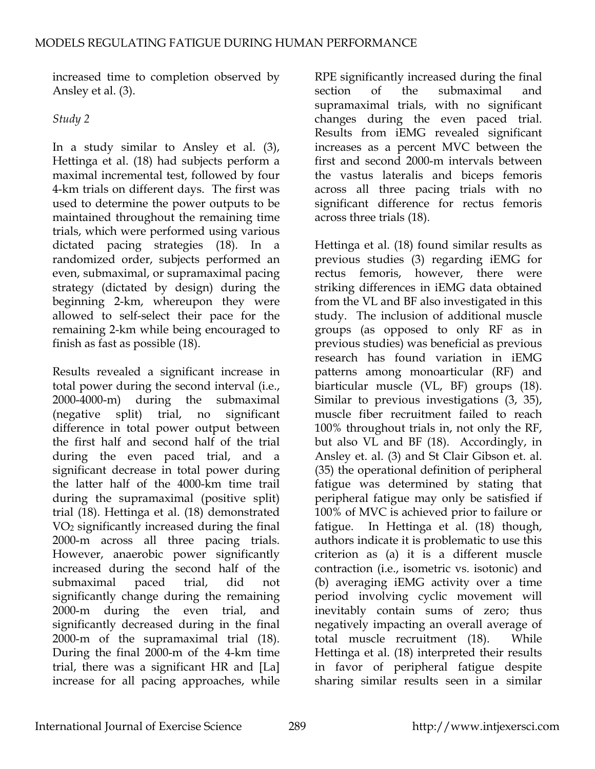increased time to completion observed by Ansley et al. (3).

# *Study 2*

In a study similar to Ansley et al. (3), Hettinga et al. (18) had subjects perform a maximal incremental test, followed by four 4-km trials on different days. The first was used to determine the power outputs to be maintained throughout the remaining time trials, which were performed using various dictated pacing strategies (18). In a randomized order, subjects performed an even, submaximal, or supramaximal pacing strategy (dictated by design) during the beginning 2-km, whereupon they were allowed to self-select their pace for the remaining 2-km while being encouraged to finish as fast as possible (18).

Results revealed a significant increase in total power during the second interval (i.e., 2000-4000-m) during the submaximal (negative split) trial, no significant difference in total power output between the first half and second half of the trial during the even paced trial, and a significant decrease in total power during the latter half of the 4000-km time trail during the supramaximal (positive split) trial (18). Hettinga et al. (18) demonstrated VO2 significantly increased during the final 2000-m across all three pacing trials. However, anaerobic power significantly increased during the second half of the submaximal paced trial, did not significantly change during the remaining 2000-m during the even trial, and significantly decreased during in the final 2000-m of the supramaximal trial (18). During the final 2000-m of the 4-km time trial, there was a significant HR and [La] increase for all pacing approaches, while

RPE significantly increased during the final section of the submaximal and supramaximal trials, with no significant changes during the even paced trial. Results from iEMG revealed significant increases as a percent MVC between the first and second 2000-m intervals between the vastus lateralis and biceps femoris across all three pacing trials with no significant difference for rectus femoris across three trials (18).

Hettinga et al. (18) found similar results as previous studies (3) regarding iEMG for rectus femoris, however, there were striking differences in iEMG data obtained from the VL and BF also investigated in this study. The inclusion of additional muscle groups (as opposed to only RF as in previous studies) was beneficial as previous research has found variation in iEMG patterns among monoarticular (RF) and biarticular muscle (VL, BF) groups (18). Similar to previous investigations (3, 35), muscle fiber recruitment failed to reach 100% throughout trials in, not only the RF, but also VL and BF (18). Accordingly, in Ansley et. al. (3) and St Clair Gibson et. al. (35) the operational definition of peripheral fatigue was determined by stating that peripheral fatigue may only be satisfied if 100% of MVC is achieved prior to failure or fatigue. In Hettinga et al. (18) though, authors indicate it is problematic to use this criterion as (a) it is a different muscle contraction (i.e., isometric vs. isotonic) and (b) averaging iEMG activity over a time period involving cyclic movement will inevitably contain sums of zero; thus negatively impacting an overall average of total muscle recruitment (18). While Hettinga et al. (18) interpreted their results in favor of peripheral fatigue despite sharing similar results seen in a similar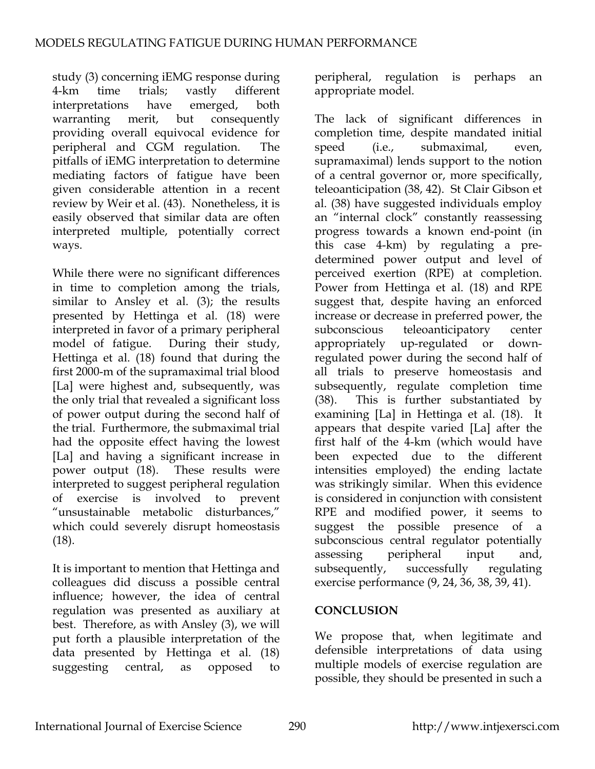study (3) concerning iEMG response during 4-km time trials; vastly different interpretations have emerged, both warranting merit, but consequently providing overall equivocal evidence for peripheral and CGM regulation. The pitfalls of iEMG interpretation to determine mediating factors of fatigue have been given considerable attention in a recent review by Weir et al. (43). Nonetheless, it is easily observed that similar data are often interpreted multiple, potentially correct ways.

While there were no significant differences in time to completion among the trials, similar to Ansley et al. (3); the results presented by Hettinga et al. (18) were interpreted in favor of a primary peripheral model of fatigue. During their study, Hettinga et al. (18) found that during the first 2000-m of the supramaximal trial blood [La] were highest and, subsequently, was the only trial that revealed a significant loss of power output during the second half of the trial. Furthermore, the submaximal trial had the opposite effect having the lowest [La] and having a significant increase in power output (18). These results were interpreted to suggest peripheral regulation of exercise is involved to prevent "unsustainable metabolic disturbances," which could severely disrupt homeostasis (18).

It is important to mention that Hettinga and colleagues did discuss a possible central influence; however, the idea of central regulation was presented as auxiliary at best. Therefore, as with Ansley (3), we will put forth a plausible interpretation of the data presented by Hettinga et al. (18) suggesting central, as opposed to

peripheral, regulation is perhaps an appropriate model.

The lack of significant differences in completion time, despite mandated initial speed (i.e., submaximal, even, supramaximal) lends support to the notion of a central governor or, more specifically, teleoanticipation (38, 42). St Clair Gibson et al. (38) have suggested individuals employ an "internal clock" constantly reassessing progress towards a known end-point (in this case 4-km) by regulating a predetermined power output and level of perceived exertion (RPE) at completion. Power from Hettinga et al. (18) and RPE suggest that, despite having an enforced increase or decrease in preferred power, the subconscious teleoanticipatory center appropriately up-regulated or downregulated power during the second half of all trials to preserve homeostasis and subsequently, regulate completion time (38). This is further substantiated by examining [La] in Hettinga et al. (18). It appears that despite varied [La] after the first half of the 4-km (which would have been expected due to the different intensities employed) the ending lactate was strikingly similar. When this evidence is considered in conjunction with consistent RPE and modified power, it seems to suggest the possible presence of a subconscious central regulator potentially assessing peripheral input and, subsequently, successfully regulating exercise performance (9, 24, 36, 38, 39, 41).

### **CONCLUSION**

We propose that, when legitimate and defensible interpretations of data using multiple models of exercise regulation are possible, they should be presented in such a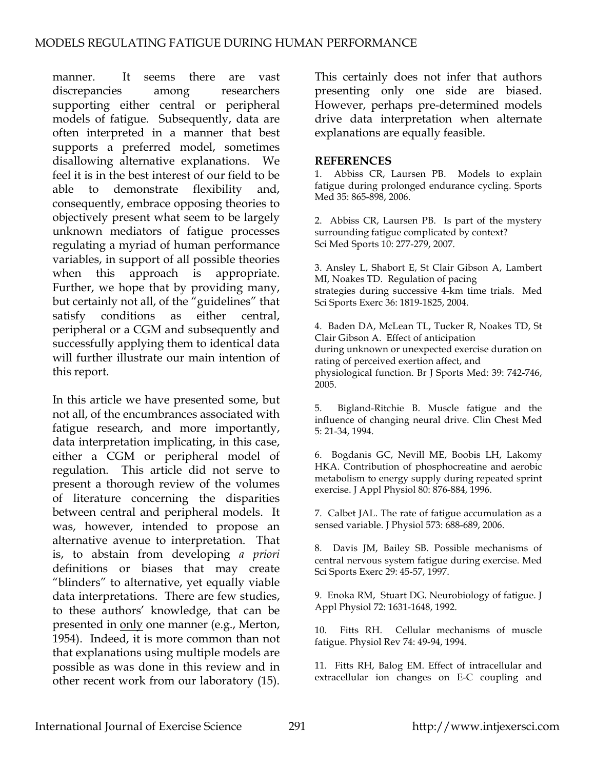manner. It seems there are vast discrepancies among researchers supporting either central or peripheral models of fatigue. Subsequently, data are often interpreted in a manner that best supports a preferred model, sometimes disallowing alternative explanations. We feel it is in the best interest of our field to be able to demonstrate flexibility and, consequently, embrace opposing theories to objectively present what seem to be largely unknown mediators of fatigue processes regulating a myriad of human performance variables, in support of all possible theories when this approach is appropriate. Further, we hope that by providing many, but certainly not all, of the "guidelines" that satisfy conditions as either central, peripheral or a CGM and subsequently and successfully applying them to identical data will further illustrate our main intention of this report.

In this article we have presented some, but not all, of the encumbrances associated with fatigue research, and more importantly, data interpretation implicating, in this case, either a CGM or peripheral model of regulation. This article did not serve to present a thorough review of the volumes of literature concerning the disparities between central and peripheral models. It was, however, intended to propose an alternative avenue to interpretation. That is, to abstain from developing *a priori* definitions or biases that may create "blinders" to alternative, yet equally viable data interpretations. There are few studies, to these authors' knowledge, that can be presented in only one manner (e.g., Merton, 1954). Indeed, it is more common than not that explanations using multiple models are possible as was done in this review and in other recent work from our laboratory (15).

This certainly does not infer that authors presenting only one side are biased. However, perhaps pre-determined models drive data interpretation when alternate explanations are equally feasible.

#### **REFERENCES**

1. Abbiss CR, Laursen PB. Models to explain fatigue during prolonged endurance cycling. Sports Med 35: 865-898, 2006.

2. Abbiss CR, Laursen PB. Is part of the mystery surrounding fatigue complicated by context? Sci Med Sports 10: 277-279, 2007.

3. Ansley L, Shabort E, St Clair Gibson A, Lambert MI, Noakes TD. Regulation of pacing strategies during successive 4-km time trials. Med Sci Sports Exerc 36: 1819-1825, 2004.

4. Baden DA, McLean TL, Tucker R, Noakes TD, St Clair Gibson A. Effect of anticipation during unknown or unexpected exercise duration on rating of perceived exertion affect, and physiological function. Br J Sports Med: 39: 742-746, 2005.

5. Bigland-Ritchie B. Muscle fatigue and the influence of changing neural drive. Clin Chest Med 5: 21-34, 1994.

6. Bogdanis GC, Nevill ME, Boobis LH, Lakomy HKA. Contribution of phosphocreatine and aerobic metabolism to energy supply during repeated sprint exercise. J Appl Physiol 80: 876-884, 1996.

7. Calbet JAL. The rate of fatigue accumulation as a sensed variable. J Physiol 573: 688-689, 2006.

8. Davis JM, Bailey SB. Possible mechanisms of central nervous system fatigue during exercise. Med Sci Sports Exerc 29: 45-57, 1997.

9. Enoka RM, Stuart DG. Neurobiology of fatigue. J Appl Physiol 72: 1631-1648, 1992.

10. Fitts RH. Cellular mechanisms of muscle fatigue. Physiol Rev 74: 49-94, 1994.

11. Fitts RH, Balog EM. Effect of intracellular and extracellular ion changes on E-C coupling and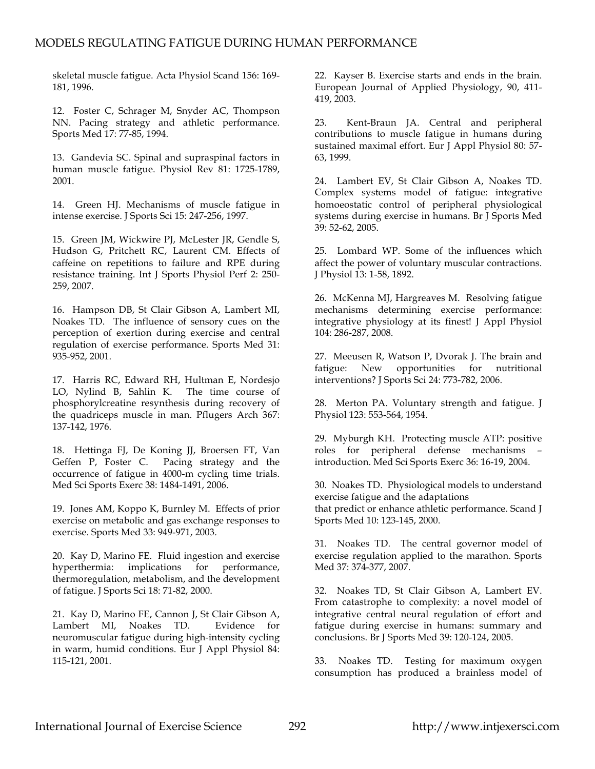skeletal muscle fatigue. Acta Physiol Scand 156: 169- 181, 1996.

12. Foster C, Schrager M, Snyder AC, Thompson NN. Pacing strategy and athletic performance. Sports Med 17: 77-85, 1994.

13. Gandevia SC. Spinal and supraspinal factors in human muscle fatigue. Physiol Rev 81: 1725-1789, 2001.

14. Green HJ. Mechanisms of muscle fatigue in intense exercise. J Sports Sci 15: 247-256, 1997.

15. Green JM, Wickwire PJ, McLester JR, Gendle S, Hudson G, Pritchett RC, Laurent CM. Effects of caffeine on repetitions to failure and RPE during resistance training. Int J Sports Physiol Perf 2: 250- 259, 2007.

16. Hampson DB, St Clair Gibson A, Lambert MI, Noakes TD. The influence of sensory cues on the perception of exertion during exercise and central regulation of exercise performance. Sports Med 31: 935-952, 2001.

17. Harris RC, Edward RH, Hultman E, Nordesjo LO, Nylind B, Sahlin K. The time course of phosphorylcreatine resynthesis during recovery of the quadriceps muscle in man. Pflugers Arch 367: 137-142, 1976.

18. Hettinga FJ, De Koning JJ, Broersen FT, Van Geffen P, Foster C. Pacing strategy and the occurrence of fatigue in 4000-m cycling time trials. Med Sci Sports Exerc 38: 1484-1491, 2006.

19. Jones AM, Koppo K, Burnley M. Effects of prior exercise on metabolic and gas exchange responses to exercise. Sports Med 33: 949-971, 2003.

20. Kay D, Marino FE. Fluid ingestion and exercise hyperthermia: implications for performance, thermoregulation, metabolism, and the development of fatigue. J Sports Sci 18: 71-82, 2000.

21. Kay D, Marino FE, Cannon J, St Clair Gibson A, Lambert MI, Noakes TD. Evidence for neuromuscular fatigue during high-intensity cycling in warm, humid conditions. Eur J Appl Physiol 84: 115-121, 2001.

22. Kayser B. Exercise starts and ends in the brain. European Journal of Applied Physiology, 90, 411- 419, 2003.

23. Kent-Braun JA. Central and peripheral contributions to muscle fatigue in humans during sustained maximal effort. Eur J Appl Physiol 80: 57- 63, 1999.

24. Lambert EV, St Clair Gibson A, Noakes TD. Complex systems model of fatigue: integrative homoeostatic control of peripheral physiological systems during exercise in humans. Br J Sports Med 39: 52-62, 2005.

25. Lombard WP. Some of the influences which affect the power of voluntary muscular contractions. J Physiol 13: 1-58, 1892.

26. McKenna MJ, Hargreaves M. Resolving fatigue mechanisms determining exercise performance: integrative physiology at its finest! J Appl Physiol 104: 286-287, 2008.

27. Meeusen R, Watson P, Dvorak J. The brain and fatigue: New opportunities for nutritional interventions? J Sports Sci 24: 773-782, 2006.

28. Merton PA. Voluntary strength and fatigue. J Physiol 123: 553-564, 1954.

29. Myburgh KH. Protecting muscle ATP: positive roles for peripheral defense mechanisms – introduction. Med Sci Sports Exerc 36: 16-19, 2004.

30. Noakes TD. Physiological models to understand exercise fatigue and the adaptations that predict or enhance athletic performance. Scand J Sports Med 10: 123-145, 2000.

31. Noakes TD. The central governor model of exercise regulation applied to the marathon. Sports Med 37: 374-377, 2007.

32. Noakes TD, St Clair Gibson A, Lambert EV. From catastrophe to complexity: a novel model of integrative central neural regulation of effort and fatigue during exercise in humans: summary and conclusions. Br J Sports Med 39: 120-124, 2005.

33. Noakes TD. Testing for maximum oxygen consumption has produced a brainless model of